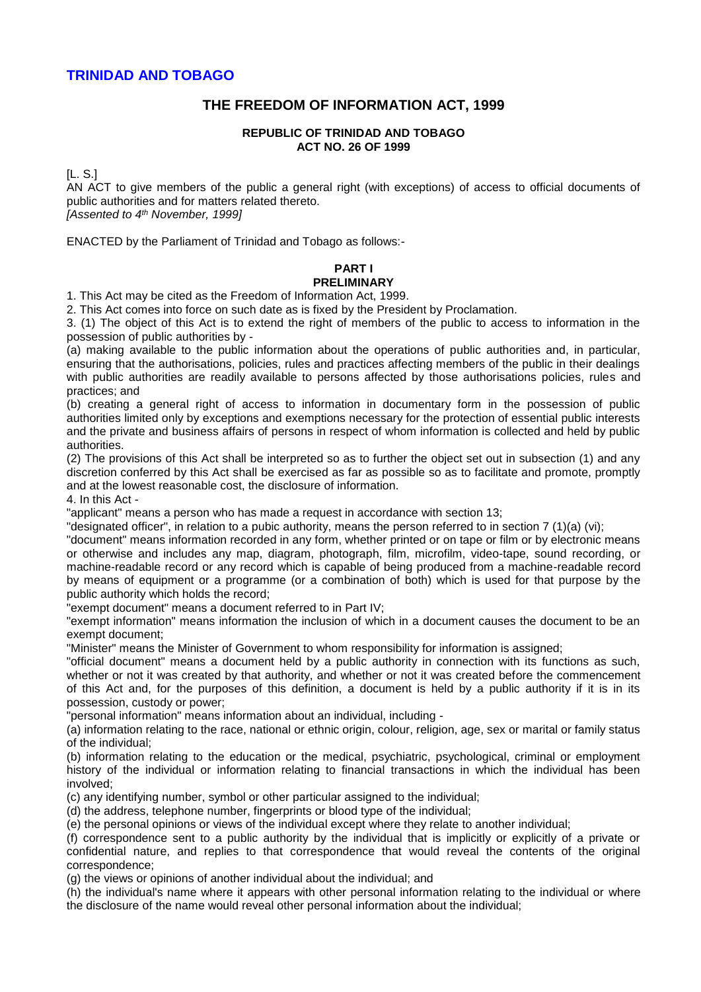# **THE FREEDOM OF INFORMATION ACT, 1999**

### **REPUBLIC OF TRINIDAD AND TOBAGO ACT NO. 26 OF 1999**

[L. S.]

AN ACT to give members of the public a general right (with exceptions) of access to official documents of public authorities and for matters related thereto.

*[Assented to 4th November, 1999]*

ENACTED by the Parliament of Trinidad and Tobago as follows:-

### **PART I PRELIMINARY**

1. This Act may be cited as the Freedom of Information Act, 1999.

2. This Act comes into force on such date as is fixed by the President by Proclamation.

3. (1) The object of this Act is to extend the right of members of the public to access to information in the possession of public authorities by -

(a) making available to the public information about the operations of public authorities and, in particular, ensuring that the authorisations, policies, rules and practices affecting members of the public in their dealings with public authorities are readily available to persons affected by those authorisations policies, rules and practices; and

(b) creating a general right of access to information in documentary form in the possession of public authorities limited only by exceptions and exemptions necessary for the protection of essential public interests and the private and business affairs of persons in respect of whom information is collected and held by public authorities.

(2) The provisions of this Act shall be interpreted so as to further the object set out in subsection (1) and any discretion conferred by this Act shall be exercised as far as possible so as to facilitate and promote, promptly and at the lowest reasonable cost, the disclosure of information.

4. In this Act -

"applicant" means a person who has made a request in accordance with section 13;

"designated officer", in relation to a pubic authority, means the person referred to in section 7 (1)(a) (vi);

"document" means information recorded in any form, whether printed or on tape or film or by electronic means or otherwise and includes any map, diagram, photograph, film, microfilm, video-tape, sound recording, or machine-readable record or any record which is capable of being produced from a machine-readable record by means of equipment or a programme (or a combination of both) which is used for that purpose by the public authority which holds the record;

"exempt document" means a document referred to in Part IV;

"exempt information" means information the inclusion of which in a document causes the document to be an exempt document;

"Minister" means the Minister of Government to whom responsibility for information is assigned;

"official document" means a document held by a public authority in connection with its functions as such, whether or not it was created by that authority, and whether or not it was created before the commencement of this Act and, for the purposes of this definition, a document is held by a public authority if it is in its possession, custody or power;

"personal information" means information about an individual, including -

(a) information relating to the race, national or ethnic origin, colour, religion, age, sex or marital or family status of the individual;

(b) information relating to the education or the medical, psychiatric, psychological, criminal or employment history of the individual or information relating to financial transactions in which the individual has been involved;

(c) any identifying number, symbol or other particular assigned to the individual;

(d) the address, telephone number, fingerprints or blood type of the individual;

(e) the personal opinions or views of the individual except where they relate to another individual;

(f) correspondence sent to a public authority by the individual that is implicitly or explicitly of a private or confidential nature, and replies to that correspondence that would reveal the contents of the original correspondence;

(g) the views or opinions of another individual about the individual; and

(h) the individual's name where it appears with other personal information relating to the individual or where the disclosure of the name would reveal other personal information about the individual;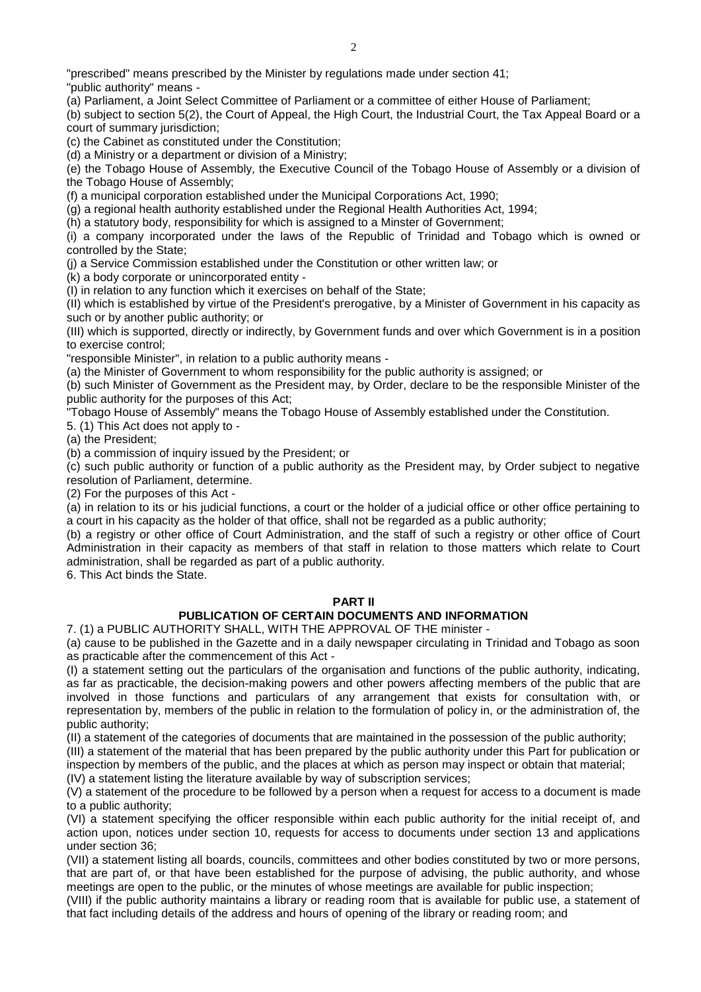"prescribed" means prescribed by the Minister by regulations made under section 41;

"public authority" means -

(a) Parliament, a Joint Select Committee of Parliament or a committee of either House of Parliament;

(b) subject to section 5(2), the Court of Appeal, the High Court, the Industrial Court, the Tax Appeal Board or a court of summary jurisdiction;

(c) the Cabinet as constituted under the Constitution;

(d) a Ministry or a department or division of a Ministry;

(e) the Tobago House of Assembly, the Executive Council of the Tobago House of Assembly or a division of the Tobago House of Assembly;

(f) a municipal corporation established under the Municipal Corporations Act, 1990;

(g) a regional health authority established under the Regional Health Authorities Act, 1994;

(h) a statutory body, responsibility for which is assigned to a Minster of Government;

(i) a company incorporated under the laws of the Republic of Trinidad and Tobago which is owned or controlled by the State;

(j) a Service Commission established under the Constitution or other written law; or

(k) a body corporate or unincorporated entity -

(I) in relation to any function which it exercises on behalf of the State;

(II) which is established by virtue of the President's prerogative, by a Minister of Government in his capacity as such or by another public authority; or

(III) which is supported, directly or indirectly, by Government funds and over which Government is in a position to exercise control;

"responsible Minister", in relation to a public authority means -

(a) the Minister of Government to whom responsibility for the public authority is assigned; or

(b) such Minister of Government as the President may, by Order, declare to be the responsible Minister of the public authority for the purposes of this Act;

"Tobago House of Assembly" means the Tobago House of Assembly established under the Constitution.

5. (1) This Act does not apply to -

(a) the President;

(b) a commission of inquiry issued by the President; or

(c) such public authority or function of a public authority as the President may, by Order subject to negative resolution of Parliament, determine.

(2) For the purposes of this Act -

(a) in relation to its or his judicial functions, a court or the holder of a judicial office or other office pertaining to a court in his capacity as the holder of that office, shall not be regarded as a public authority;

(b) a registry or other office of Court Administration, and the staff of such a registry or other office of Court Administration in their capacity as members of that staff in relation to those matters which relate to Court administration, shall be regarded as part of a public authority.

6. This Act binds the State.

## **PART II**

# **PUBLICATION OF CERTAIN DOCUMENTS AND INFORMATION**

7. (1) a PUBLIC AUTHORITY SHALL, WITH THE APPROVAL OF THE minister -

(a) cause to be published in the Gazette and in a daily newspaper circulating in Trinidad and Tobago as soon as practicable after the commencement of this Act -

(I) a statement setting out the particulars of the organisation and functions of the public authority, indicating, as far as practicable, the decision-making powers and other powers affecting members of the public that are involved in those functions and particulars of any arrangement that exists for consultation with, or representation by, members of the public in relation to the formulation of policy in, or the administration of, the public authority;

(II) a statement of the categories of documents that are maintained in the possession of the public authority;

(III) a statement of the material that has been prepared by the public authority under this Part for publication or inspection by members of the public, and the places at which as person may inspect or obtain that material;

(IV) a statement listing the literature available by way of subscription services;

(V) a statement of the procedure to be followed by a person when a request for access to a document is made to a public authority;

(VI) a statement specifying the officer responsible within each public authority for the initial receipt of, and action upon, notices under section 10, requests for access to documents under section 13 and applications under section 36;

(VII) a statement listing all boards, councils, committees and other bodies constituted by two or more persons, that are part of, or that have been established for the purpose of advising, the public authority, and whose meetings are open to the public, or the minutes of whose meetings are available for public inspection;

(VIII) if the public authority maintains a library or reading room that is available for public use, a statement of that fact including details of the address and hours of opening of the library or reading room; and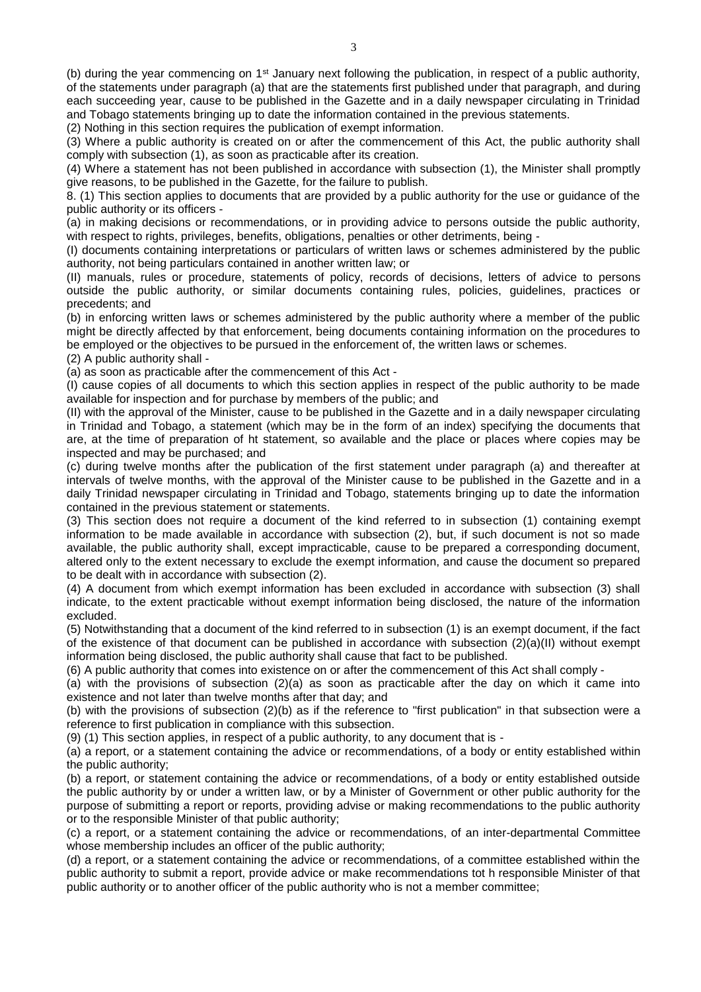(b) during the year commencing on  $1<sup>st</sup>$  January next following the publication, in respect of a public authority, of the statements under paragraph (a) that are the statements first published under that paragraph, and during each succeeding year, cause to be published in the Gazette and in a daily newspaper circulating in Trinidad and Tobago statements bringing up to date the information contained in the previous statements.

(2) Nothing in this section requires the publication of exempt information.

(3) Where a public authority is created on or after the commencement of this Act, the public authority shall comply with subsection (1), as soon as practicable after its creation.

(4) Where a statement has not been published in accordance with subsection (1), the Minister shall promptly give reasons, to be published in the Gazette, for the failure to publish.

8. (1) This section applies to documents that are provided by a public authority for the use or guidance of the public authority or its officers -

(a) in making decisions or recommendations, or in providing advice to persons outside the public authority, with respect to rights, privileges, benefits, obligations, penalties or other detriments, being -

(I) documents containing interpretations or particulars of written laws or schemes administered by the public authority, not being particulars contained in another written law; or

(II) manuals, rules or procedure, statements of policy, records of decisions, letters of advice to persons outside the public authority, or similar documents containing rules, policies, guidelines, practices or precedents; and

(b) in enforcing written laws or schemes administered by the public authority where a member of the public might be directly affected by that enforcement, being documents containing information on the procedures to be employed or the objectives to be pursued in the enforcement of, the written laws or schemes.

(2) A public authority shall -

(a) as soon as practicable after the commencement of this Act -

(I) cause copies of all documents to which this section applies in respect of the public authority to be made available for inspection and for purchase by members of the public; and

(II) with the approval of the Minister, cause to be published in the Gazette and in a daily newspaper circulating in Trinidad and Tobago, a statement (which may be in the form of an index) specifying the documents that are, at the time of preparation of ht statement, so available and the place or places where copies may be inspected and may be purchased; and

(c) during twelve months after the publication of the first statement under paragraph (a) and thereafter at intervals of twelve months, with the approval of the Minister cause to be published in the Gazette and in a daily Trinidad newspaper circulating in Trinidad and Tobago, statements bringing up to date the information contained in the previous statement or statements.

(3) This section does not require a document of the kind referred to in subsection (1) containing exempt information to be made available in accordance with subsection (2), but, if such document is not so made available, the public authority shall, except impracticable, cause to be prepared a corresponding document, altered only to the extent necessary to exclude the exempt information, and cause the document so prepared to be dealt with in accordance with subsection (2).

(4) A document from which exempt information has been excluded in accordance with subsection (3) shall indicate, to the extent practicable without exempt information being disclosed, the nature of the information excluded.

(5) Notwithstanding that a document of the kind referred to in subsection (1) is an exempt document, if the fact of the existence of that document can be published in accordance with subsection (2)(a)(II) without exempt information being disclosed, the public authority shall cause that fact to be published.

(6) A public authority that comes into existence on or after the commencement of this Act shall comply -

(a) with the provisions of subsection (2)(a) as soon as practicable after the day on which it came into existence and not later than twelve months after that day; and

(b) with the provisions of subsection (2)(b) as if the reference to "first publication" in that subsection were a reference to first publication in compliance with this subsection.

(9) (1) This section applies, in respect of a public authority, to any document that is -

(a) a report, or a statement containing the advice or recommendations, of a body or entity established within the public authority;

(b) a report, or statement containing the advice or recommendations, of a body or entity established outside the public authority by or under a written law, or by a Minister of Government or other public authority for the purpose of submitting a report or reports, providing advise or making recommendations to the public authority or to the responsible Minister of that public authority;

(c) a report, or a statement containing the advice or recommendations, of an inter-departmental Committee whose membership includes an officer of the public authority;

(d) a report, or a statement containing the advice or recommendations, of a committee established within the public authority to submit a report, provide advice or make recommendations tot h responsible Minister of that public authority or to another officer of the public authority who is not a member committee;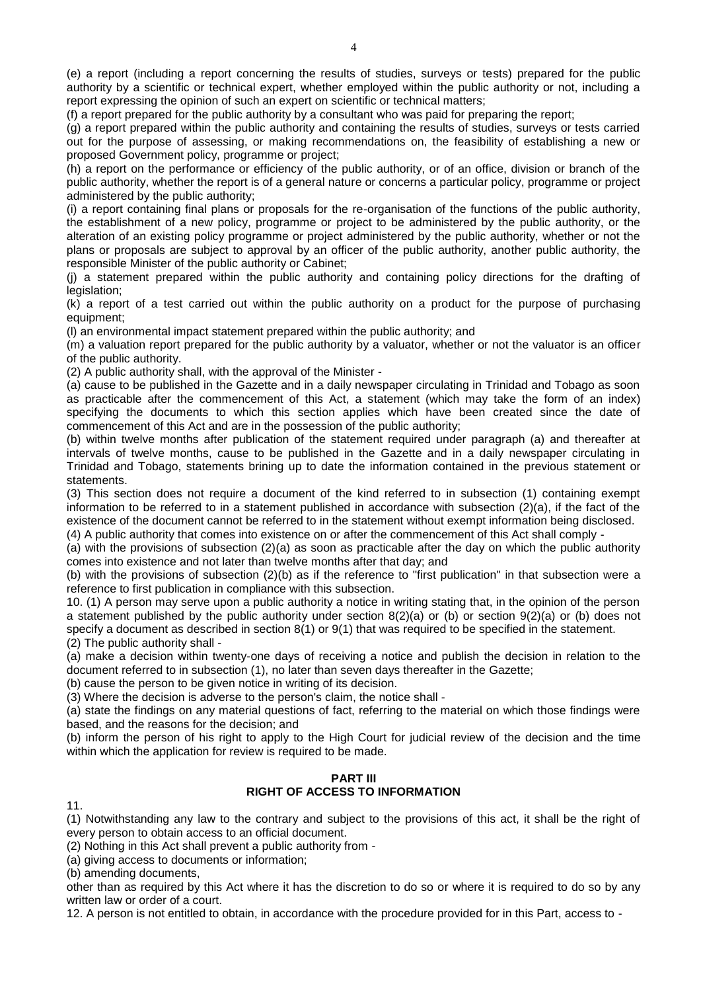report expressing the opinion of such an expert on scientific or technical matters;

(f) a report prepared for the public authority by a consultant who was paid for preparing the report;

(g) a report prepared within the public authority and containing the results of studies, surveys or tests carried out for the purpose of assessing, or making recommendations on, the feasibility of establishing a new or proposed Government policy, programme or project;

(h) a report on the performance or efficiency of the public authority, or of an office, division or branch of the public authority, whether the report is of a general nature or concerns a particular policy, programme or project administered by the public authority;

(i) a report containing final plans or proposals for the re-organisation of the functions of the public authority, the establishment of a new policy, programme or project to be administered by the public authority, or the alteration of an existing policy programme or project administered by the public authority, whether or not the plans or proposals are subject to approval by an officer of the public authority, another public authority, the responsible Minister of the public authority or Cabinet;

(j) a statement prepared within the public authority and containing policy directions for the drafting of legislation;

(k) a report of a test carried out within the public authority on a product for the purpose of purchasing equipment;

(l) an environmental impact statement prepared within the public authority; and

(m) a valuation report prepared for the public authority by a valuator, whether or not the valuator is an officer of the public authority.

(2) A public authority shall, with the approval of the Minister -

(a) cause to be published in the Gazette and in a daily newspaper circulating in Trinidad and Tobago as soon as practicable after the commencement of this Act, a statement (which may take the form of an index) specifying the documents to which this section applies which have been created since the date of commencement of this Act and are in the possession of the public authority;

(b) within twelve months after publication of the statement required under paragraph (a) and thereafter at intervals of twelve months, cause to be published in the Gazette and in a daily newspaper circulating in Trinidad and Tobago, statements brining up to date the information contained in the previous statement or statements.

(3) This section does not require a document of the kind referred to in subsection (1) containing exempt information to be referred to in a statement published in accordance with subsection (2)(a), if the fact of the existence of the document cannot be referred to in the statement without exempt information being disclosed.

(4) A public authority that comes into existence on or after the commencement of this Act shall comply -

(a) with the provisions of subsection (2)(a) as soon as practicable after the day on which the public authority comes into existence and not later than twelve months after that day; and

(b) with the provisions of subsection (2)(b) as if the reference to "first publication" in that subsection were a reference to first publication in compliance with this subsection.

10. (1) A person may serve upon a public authority a notice in writing stating that, in the opinion of the person a statement published by the public authority under section 8(2)(a) or (b) or section 9(2)(a) or (b) does not specify a document as described in section 8(1) or 9(1) that was required to be specified in the statement. (2) The public authority shall -

(a) make a decision within twenty-one days of receiving a notice and publish the decision in relation to the document referred to in subsection (1), no later than seven days thereafter in the Gazette;

(b) cause the person to be given notice in writing of its decision.

(3) Where the decision is adverse to the person's claim, the notice shall -

(a) state the findings on any material questions of fact, referring to the material on which those findings were based, and the reasons for the decision; and

(b) inform the person of his right to apply to the High Court for judicial review of the decision and the time within which the application for review is required to be made.

#### **PART III RIGHT OF ACCESS TO INFORMATION**

11.

(1) Notwithstanding any law to the contrary and subject to the provisions of this act, it shall be the right of every person to obtain access to an official document.

(2) Nothing in this Act shall prevent a public authority from -

(a) giving access to documents or information;

(b) amending documents,

other than as required by this Act where it has the discretion to do so or where it is required to do so by any written law or order of a court.

12. A person is not entitled to obtain, in accordance with the procedure provided for in this Part, access to -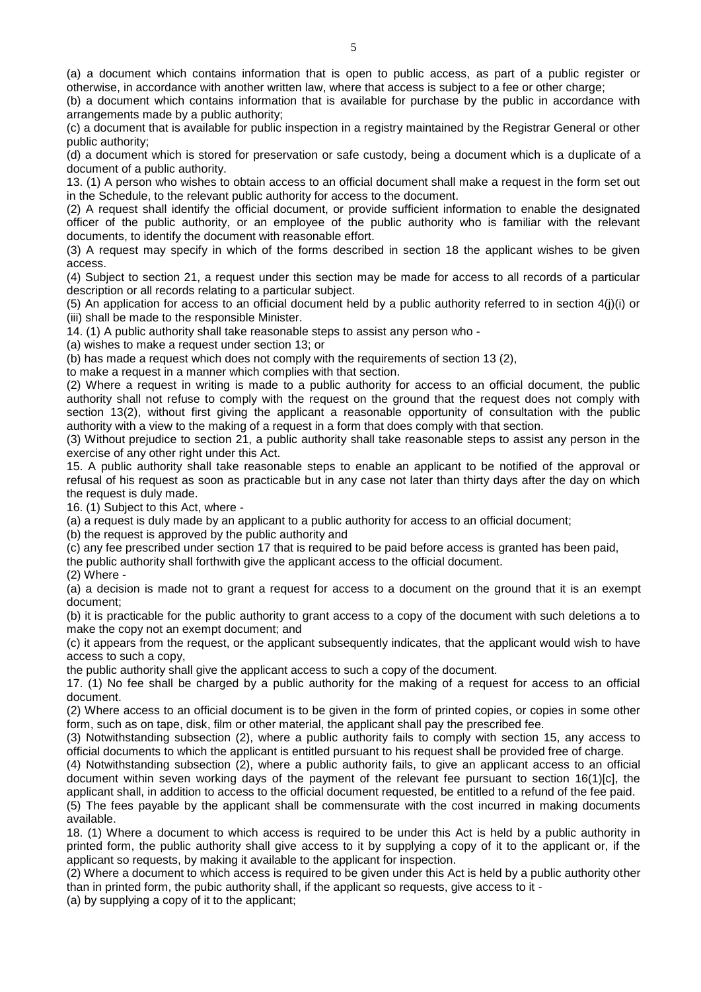(a) a document which contains information that is open to public access, as part of a public register or otherwise, in accordance with another written law, where that access is subject to a fee or other charge;

(b) a document which contains information that is available for purchase by the public in accordance with arrangements made by a public authority;

(c) a document that is available for public inspection in a registry maintained by the Registrar General or other public authority;

(d) a document which is stored for preservation or safe custody, being a document which is a duplicate of a document of a public authority.

13. (1) A person who wishes to obtain access to an official document shall make a request in the form set out in the Schedule, to the relevant public authority for access to the document.

(2) A request shall identify the official document, or provide sufficient information to enable the designated officer of the public authority, or an employee of the public authority who is familiar with the relevant documents, to identify the document with reasonable effort.

(3) A request may specify in which of the forms described in section 18 the applicant wishes to be given access.

(4) Subject to section 21, a request under this section may be made for access to all records of a particular description or all records relating to a particular subject.

(5) An application for access to an official document held by a public authority referred to in section 4(j)(i) or (iii) shall be made to the responsible Minister.

14. (1) A public authority shall take reasonable steps to assist any person who -

(a) wishes to make a request under section 13; or

(b) has made a request which does not comply with the requirements of section 13 (2),

to make a request in a manner which complies with that section.

(2) Where a request in writing is made to a public authority for access to an official document, the public authority shall not refuse to comply with the request on the ground that the request does not comply with section 13(2), without first giving the applicant a reasonable opportunity of consultation with the public authority with a view to the making of a request in a form that does comply with that section.

(3) Without prejudice to section 21, a public authority shall take reasonable steps to assist any person in the exercise of any other right under this Act.

15. A public authority shall take reasonable steps to enable an applicant to be notified of the approval or refusal of his request as soon as practicable but in any case not later than thirty days after the day on which the request is duly made.

16. (1) Subject to this Act, where -

(a) a request is duly made by an applicant to a public authority for access to an official document;

(b) the request is approved by the public authority and

(c) any fee prescribed under section 17 that is required to be paid before access is granted has been paid,

the public authority shall forthwith give the applicant access to the official document.

(2) Where -

(a) a decision is made not to grant a request for access to a document on the ground that it is an exempt document;

(b) it is practicable for the public authority to grant access to a copy of the document with such deletions a to make the copy not an exempt document; and

(c) it appears from the request, or the applicant subsequently indicates, that the applicant would wish to have access to such a copy,

the public authority shall give the applicant access to such a copy of the document.

17. (1) No fee shall be charged by a public authority for the making of a request for access to an official document.

(2) Where access to an official document is to be given in the form of printed copies, or copies in some other form, such as on tape, disk, film or other material, the applicant shall pay the prescribed fee.

(3) Notwithstanding subsection (2), where a public authority fails to comply with section 15, any access to official documents to which the applicant is entitled pursuant to his request shall be provided free of charge.

(4) Notwithstanding subsection (2), where a public authority fails, to give an applicant access to an official document within seven working days of the payment of the relevant fee pursuant to section 16(1)[c], the applicant shall, in addition to access to the official document requested, be entitled to a refund of the fee paid.

(5) The fees payable by the applicant shall be commensurate with the cost incurred in making documents available.

18. (1) Where a document to which access is required to be under this Act is held by a public authority in printed form, the public authority shall give access to it by supplying a copy of it to the applicant or, if the applicant so requests, by making it available to the applicant for inspection.

(2) Where a document to which access is required to be given under this Act is held by a public authority other than in printed form, the pubic authority shall, if the applicant so requests, give access to it -

(a) by supplying a copy of it to the applicant;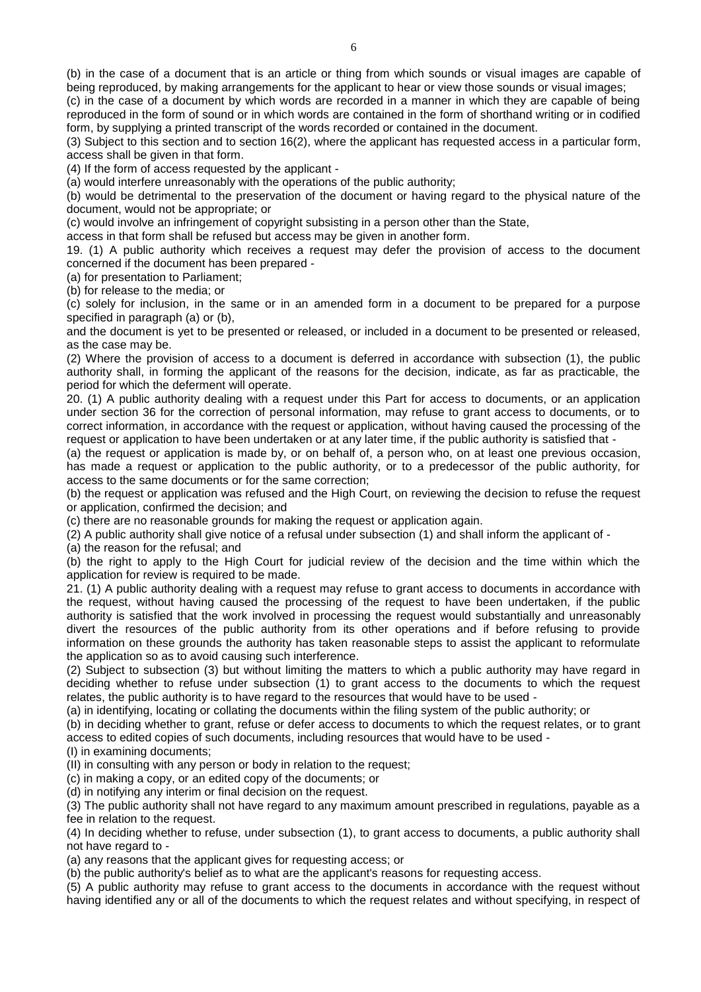(c) in the case of a document by which words are recorded in a manner in which they are capable of being reproduced in the form of sound or in which words are contained in the form of shorthand writing or in codified form, by supplying a printed transcript of the words recorded or contained in the document.

(3) Subject to this section and to section 16(2), where the applicant has requested access in a particular form, access shall be given in that form.

(4) If the form of access requested by the applicant -

(a) would interfere unreasonably with the operations of the public authority;

(b) would be detrimental to the preservation of the document or having regard to the physical nature of the document, would not be appropriate; or

(c) would involve an infringement of copyright subsisting in a person other than the State,

access in that form shall be refused but access may be given in another form.

19. (1) A public authority which receives a request may defer the provision of access to the document concerned if the document has been prepared -

(a) for presentation to Parliament;

(b) for release to the media; or

(c) solely for inclusion, in the same or in an amended form in a document to be prepared for a purpose specified in paragraph (a) or (b),

and the document is yet to be presented or released, or included in a document to be presented or released, as the case may be.

(2) Where the provision of access to a document is deferred in accordance with subsection (1), the public authority shall, in forming the applicant of the reasons for the decision, indicate, as far as practicable, the period for which the deferment will operate.

20. (1) A public authority dealing with a request under this Part for access to documents, or an application under section 36 for the correction of personal information, may refuse to grant access to documents, or to correct information, in accordance with the request or application, without having caused the processing of the request or application to have been undertaken or at any later time, if the public authority is satisfied that -

(a) the request or application is made by, or on behalf of, a person who, on at least one previous occasion, has made a request or application to the public authority, or to a predecessor of the public authority, for access to the same documents or for the same correction;

(b) the request or application was refused and the High Court, on reviewing the decision to refuse the request or application, confirmed the decision; and

(c) there are no reasonable grounds for making the request or application again.

(2) A public authority shall give notice of a refusal under subsection (1) and shall inform the applicant of -

(a) the reason for the refusal; and

(b) the right to apply to the High Court for judicial review of the decision and the time within which the application for review is required to be made.

21. (1) A public authority dealing with a request may refuse to grant access to documents in accordance with the request, without having caused the processing of the request to have been undertaken, if the public authority is satisfied that the work involved in processing the request would substantially and unreasonably divert the resources of the public authority from its other operations and if before refusing to provide information on these grounds the authority has taken reasonable steps to assist the applicant to reformulate the application so as to avoid causing such interference.

(2) Subject to subsection (3) but without limiting the matters to which a public authority may have regard in deciding whether to refuse under subsection (1) to grant access to the documents to which the request relates, the public authority is to have regard to the resources that would have to be used -

(a) in identifying, locating or collating the documents within the filing system of the public authority; or

(b) in deciding whether to grant, refuse or defer access to documents to which the request relates, or to grant access to edited copies of such documents, including resources that would have to be used -

(I) in examining documents;

(II) in consulting with any person or body in relation to the request;

(c) in making a copy, or an edited copy of the documents; or

(d) in notifying any interim or final decision on the request.

(3) The public authority shall not have regard to any maximum amount prescribed in regulations, payable as a fee in relation to the request.

(4) In deciding whether to refuse, under subsection (1), to grant access to documents, a public authority shall not have regard to -

(a) any reasons that the applicant gives for requesting access; or

(b) the public authority's belief as to what are the applicant's reasons for requesting access.

(5) A public authority may refuse to grant access to the documents in accordance with the request without having identified any or all of the documents to which the request relates and without specifying, in respect of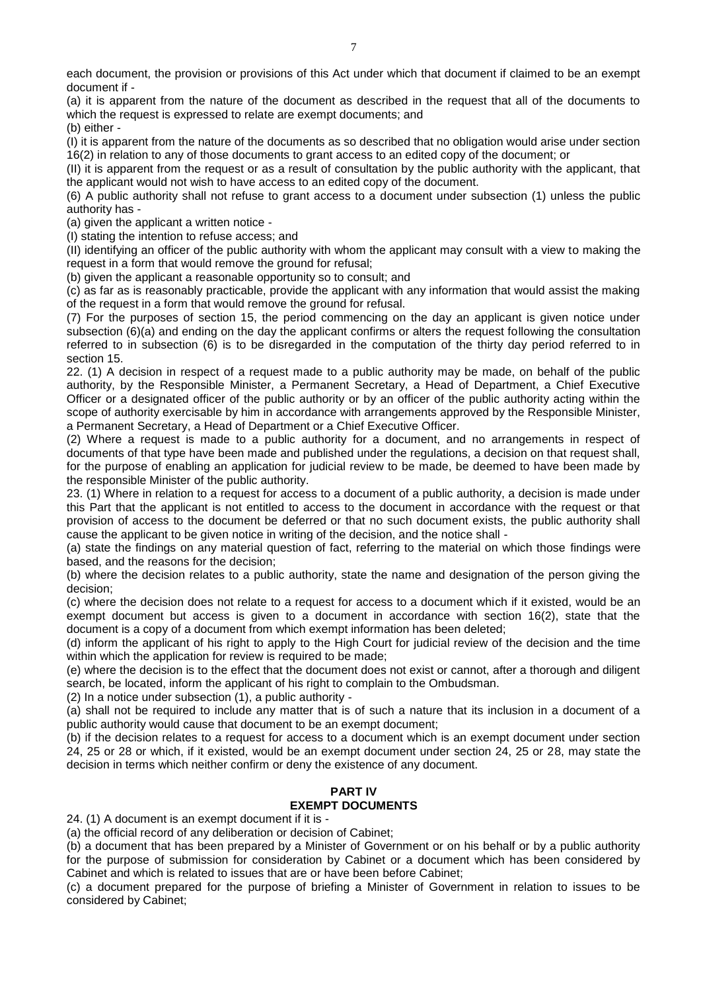each document, the provision or provisions of this Act under which that document if claimed to be an exempt document if -

(a) it is apparent from the nature of the document as described in the request that all of the documents to which the request is expressed to relate are exempt documents; and

(b) either -

(I) it is apparent from the nature of the documents as so described that no obligation would arise under section 16(2) in relation to any of those documents to grant access to an edited copy of the document; or

(II) it is apparent from the request or as a result of consultation by the public authority with the applicant, that the applicant would not wish to have access to an edited copy of the document.

(6) A public authority shall not refuse to grant access to a document under subsection (1) unless the public authority has -

(a) given the applicant a written notice -

(I) stating the intention to refuse access; and

(II) identifying an officer of the public authority with whom the applicant may consult with a view to making the request in a form that would remove the ground for refusal;

(b) given the applicant a reasonable opportunity so to consult; and

(c) as far as is reasonably practicable, provide the applicant with any information that would assist the making of the request in a form that would remove the ground for refusal.

(7) For the purposes of section 15, the period commencing on the day an applicant is given notice under subsection (6)(a) and ending on the day the applicant confirms or alters the request following the consultation referred to in subsection (6) is to be disregarded in the computation of the thirty day period referred to in section 15.

22. (1) A decision in respect of a request made to a public authority may be made, on behalf of the public authority, by the Responsible Minister, a Permanent Secretary, a Head of Department, a Chief Executive Officer or a designated officer of the public authority or by an officer of the public authority acting within the scope of authority exercisable by him in accordance with arrangements approved by the Responsible Minister, a Permanent Secretary, a Head of Department or a Chief Executive Officer.

(2) Where a request is made to a public authority for a document, and no arrangements in respect of documents of that type have been made and published under the regulations, a decision on that request shall, for the purpose of enabling an application for judicial review to be made, be deemed to have been made by the responsible Minister of the public authority.

23. (1) Where in relation to a request for access to a document of a public authority, a decision is made under this Part that the applicant is not entitled to access to the document in accordance with the request or that provision of access to the document be deferred or that no such document exists, the public authority shall cause the applicant to be given notice in writing of the decision, and the notice shall -

(a) state the findings on any material question of fact, referring to the material on which those findings were based, and the reasons for the decision;

(b) where the decision relates to a public authority, state the name and designation of the person giving the decision;

(c) where the decision does not relate to a request for access to a document which if it existed, would be an exempt document but access is given to a document in accordance with section 16(2), state that the document is a copy of a document from which exempt information has been deleted;

(d) inform the applicant of his right to apply to the High Court for judicial review of the decision and the time within which the application for review is required to be made;

(e) where the decision is to the effect that the document does not exist or cannot, after a thorough and diligent search, be located, inform the applicant of his right to complain to the Ombudsman.

(2) In a notice under subsection (1), a public authority -

(a) shall not be required to include any matter that is of such a nature that its inclusion in a document of a public authority would cause that document to be an exempt document;

(b) if the decision relates to a request for access to a document which is an exempt document under section 24, 25 or 28 or which, if it existed, would be an exempt document under section 24, 25 or 28, may state the decision in terms which neither confirm or deny the existence of any document.

# **PART IV EXEMPT DOCUMENTS**

24. (1) A document is an exempt document if it is -

(a) the official record of any deliberation or decision of Cabinet;

(b) a document that has been prepared by a Minister of Government or on his behalf or by a public authority for the purpose of submission for consideration by Cabinet or a document which has been considered by Cabinet and which is related to issues that are or have been before Cabinet;

(c) a document prepared for the purpose of briefing a Minister of Government in relation to issues to be considered by Cabinet;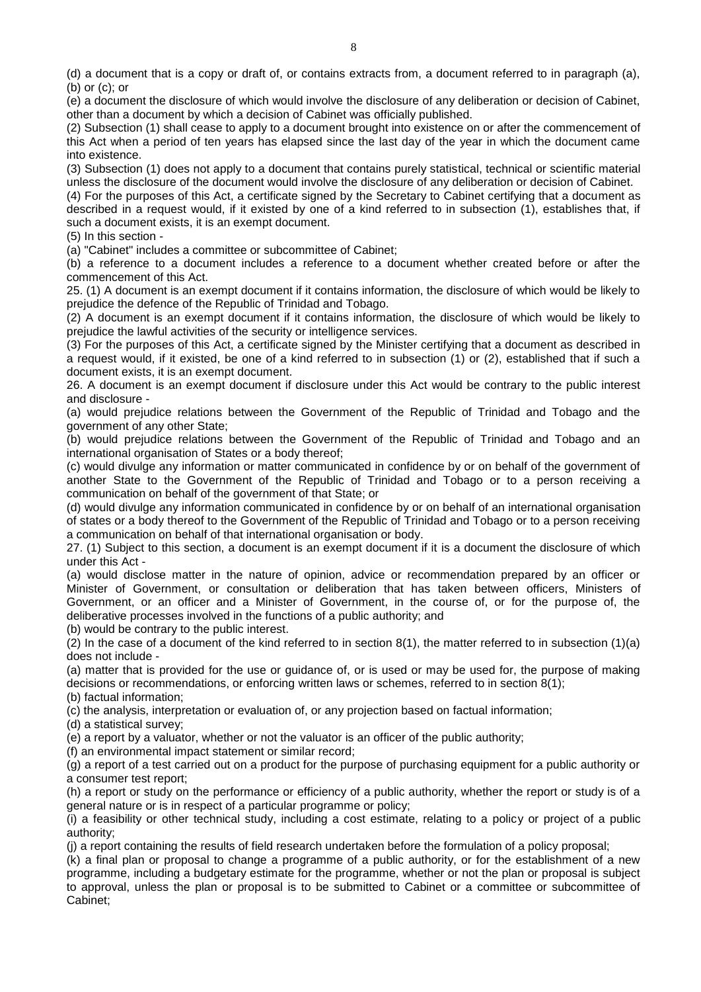(d) a document that is a copy or draft of, or contains extracts from, a document referred to in paragraph (a), (b) or (c); or

(e) a document the disclosure of which would involve the disclosure of any deliberation or decision of Cabinet, other than a document by which a decision of Cabinet was officially published.

(2) Subsection (1) shall cease to apply to a document brought into existence on or after the commencement of this Act when a period of ten years has elapsed since the last day of the year in which the document came into existence.

(3) Subsection (1) does not apply to a document that contains purely statistical, technical or scientific material unless the disclosure of the document would involve the disclosure of any deliberation or decision of Cabinet.

(4) For the purposes of this Act, a certificate signed by the Secretary to Cabinet certifying that a document as described in a request would, if it existed by one of a kind referred to in subsection (1), establishes that, if such a document exists, it is an exempt document.

(5) In this section -

(a) "Cabinet" includes a committee or subcommittee of Cabinet;

(b) a reference to a document includes a reference to a document whether created before or after the commencement of this Act.

25. (1) A document is an exempt document if it contains information, the disclosure of which would be likely to prejudice the defence of the Republic of Trinidad and Tobago.

(2) A document is an exempt document if it contains information, the disclosure of which would be likely to prejudice the lawful activities of the security or intelligence services.

(3) For the purposes of this Act, a certificate signed by the Minister certifying that a document as described in a request would, if it existed, be one of a kind referred to in subsection (1) or (2), established that if such a document exists, it is an exempt document.

26. A document is an exempt document if disclosure under this Act would be contrary to the public interest and disclosure -

(a) would prejudice relations between the Government of the Republic of Trinidad and Tobago and the government of any other State;

(b) would prejudice relations between the Government of the Republic of Trinidad and Tobago and an international organisation of States or a body thereof;

(c) would divulge any information or matter communicated in confidence by or on behalf of the government of another State to the Government of the Republic of Trinidad and Tobago or to a person receiving a communication on behalf of the government of that State; or

(d) would divulge any information communicated in confidence by or on behalf of an international organisation of states or a body thereof to the Government of the Republic of Trinidad and Tobago or to a person receiving a communication on behalf of that international organisation or body.

27. (1) Subject to this section, a document is an exempt document if it is a document the disclosure of which under this Act -

(a) would disclose matter in the nature of opinion, advice or recommendation prepared by an officer or Minister of Government, or consultation or deliberation that has taken between officers, Ministers of Government, or an officer and a Minister of Government, in the course of, or for the purpose of, the deliberative processes involved in the functions of a public authority; and

(b) would be contrary to the public interest.

(2) In the case of a document of the kind referred to in section 8(1), the matter referred to in subsection (1)(a) does not include -

(a) matter that is provided for the use or guidance of, or is used or may be used for, the purpose of making decisions or recommendations, or enforcing written laws or schemes, referred to in section 8(1);

(b) factual information;

(c) the analysis, interpretation or evaluation of, or any projection based on factual information;

(d) a statistical survey;

(e) a report by a valuator, whether or not the valuator is an officer of the public authority;

(f) an environmental impact statement or similar record;

(g) a report of a test carried out on a product for the purpose of purchasing equipment for a public authority or a consumer test report;

(h) a report or study on the performance or efficiency of a public authority, whether the report or study is of a general nature or is in respect of a particular programme or policy;

(i) a feasibility or other technical study, including a cost estimate, relating to a policy or project of a public authority;

(j) a report containing the results of field research undertaken before the formulation of a policy proposal;

(k) a final plan or proposal to change a programme of a public authority, or for the establishment of a new programme, including a budgetary estimate for the programme, whether or not the plan or proposal is subject to approval, unless the plan or proposal is to be submitted to Cabinet or a committee or subcommittee of Cabinet;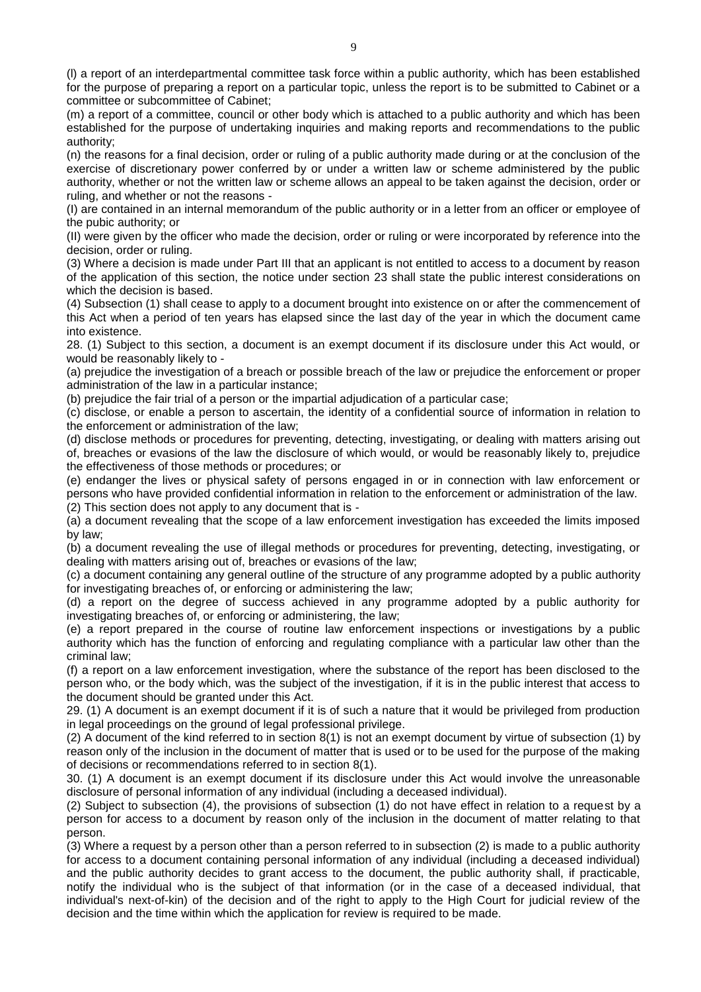(l) a report of an interdepartmental committee task force within a public authority, which has been established for the purpose of preparing a report on a particular topic, unless the report is to be submitted to Cabinet or a committee or subcommittee of Cabinet;

(m) a report of a committee, council or other body which is attached to a public authority and which has been established for the purpose of undertaking inquiries and making reports and recommendations to the public authority;

(n) the reasons for a final decision, order or ruling of a public authority made during or at the conclusion of the exercise of discretionary power conferred by or under a written law or scheme administered by the public authority, whether or not the written law or scheme allows an appeal to be taken against the decision, order or ruling, and whether or not the reasons -

(I) are contained in an internal memorandum of the public authority or in a letter from an officer or employee of the pubic authority; or

(II) were given by the officer who made the decision, order or ruling or were incorporated by reference into the decision, order or ruling.

(3) Where a decision is made under Part III that an applicant is not entitled to access to a document by reason of the application of this section, the notice under section 23 shall state the public interest considerations on which the decision is based.

(4) Subsection (1) shall cease to apply to a document brought into existence on or after the commencement of this Act when a period of ten years has elapsed since the last day of the year in which the document came into existence.

28. (1) Subject to this section, a document is an exempt document if its disclosure under this Act would, or would be reasonably likely to -

(a) prejudice the investigation of a breach or possible breach of the law or prejudice the enforcement or proper administration of the law in a particular instance;

(b) prejudice the fair trial of a person or the impartial adjudication of a particular case;

(c) disclose, or enable a person to ascertain, the identity of a confidential source of information in relation to the enforcement or administration of the law;

(d) disclose methods or procedures for preventing, detecting, investigating, or dealing with matters arising out of, breaches or evasions of the law the disclosure of which would, or would be reasonably likely to, prejudice the effectiveness of those methods or procedures; or

(e) endanger the lives or physical safety of persons engaged in or in connection with law enforcement or persons who have provided confidential information in relation to the enforcement or administration of the law. (2) This section does not apply to any document that is -

(a) a document revealing that the scope of a law enforcement investigation has exceeded the limits imposed by law;

(b) a document revealing the use of illegal methods or procedures for preventing, detecting, investigating, or dealing with matters arising out of, breaches or evasions of the law;

(c) a document containing any general outline of the structure of any programme adopted by a public authority for investigating breaches of, or enforcing or administering the law;

(d) a report on the degree of success achieved in any programme adopted by a public authority for investigating breaches of, or enforcing or administering, the law;

(e) a report prepared in the course of routine law enforcement inspections or investigations by a public authority which has the function of enforcing and regulating compliance with a particular law other than the criminal law;

(f) a report on a law enforcement investigation, where the substance of the report has been disclosed to the person who, or the body which, was the subject of the investigation, if it is in the public interest that access to the document should be granted under this Act.

29. (1) A document is an exempt document if it is of such a nature that it would be privileged from production in legal proceedings on the ground of legal professional privilege.

(2) A document of the kind referred to in section 8(1) is not an exempt document by virtue of subsection (1) by reason only of the inclusion in the document of matter that is used or to be used for the purpose of the making of decisions or recommendations referred to in section 8(1).

30. (1) A document is an exempt document if its disclosure under this Act would involve the unreasonable disclosure of personal information of any individual (including a deceased individual).

(2) Subject to subsection (4), the provisions of subsection (1) do not have effect in relation to a request by a person for access to a document by reason only of the inclusion in the document of matter relating to that person.

(3) Where a request by a person other than a person referred to in subsection (2) is made to a public authority for access to a document containing personal information of any individual (including a deceased individual) and the public authority decides to grant access to the document, the public authority shall, if practicable, notify the individual who is the subject of that information (or in the case of a deceased individual, that individual's next-of-kin) of the decision and of the right to apply to the High Court for judicial review of the decision and the time within which the application for review is required to be made.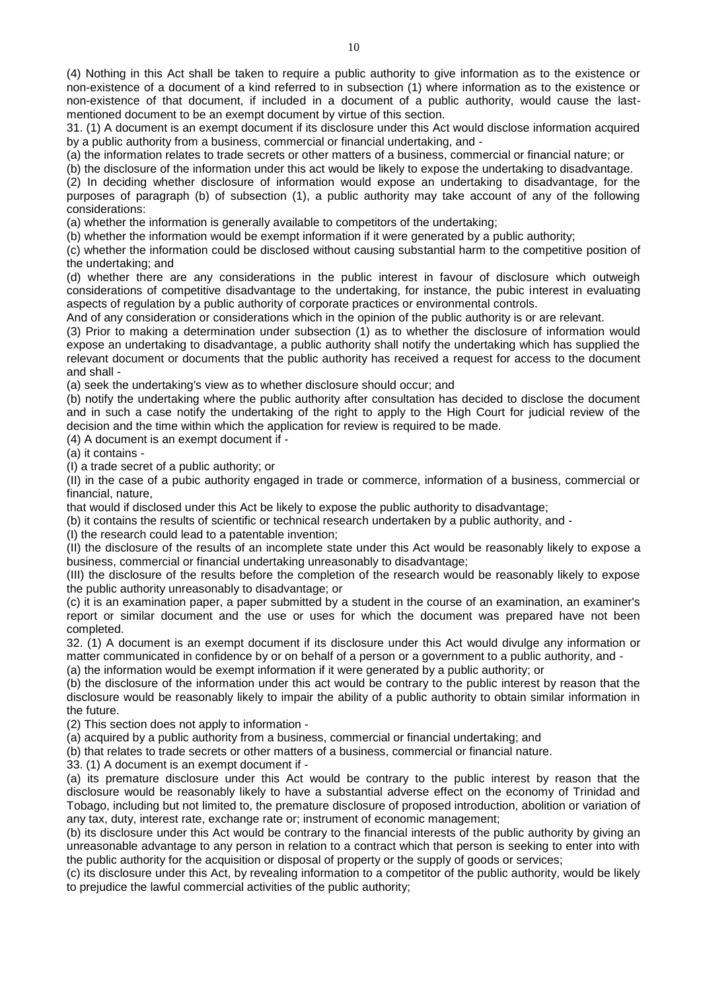(4) Nothing in this Act shall be taken to require a public authority to give information as to the existence or non-existence of a document of a kind referred to in subsection (1) where information as to the existence or non-existence of that document, if included in a document of a public authority, would cause the lastmentioned document to be an exempt document by virtue of this section.

31. (1) A document is an exempt document if its disclosure under this Act would disclose information acquired by a public authority from a business, commercial or financial undertaking, and -

(a) the information relates to trade secrets or other matters of a business, commercial or financial nature; or

(b) the disclosure of the information under this act would be likely to expose the undertaking to disadvantage.

(2) In deciding whether disclosure of information would expose an undertaking to disadvantage, for the purposes of paragraph (b) of subsection (1), a public authority may take account of any of the following considerations:

(a) whether the information is generally available to competitors of the undertaking;

(b) whether the information would be exempt information if it were generated by a public authority;

(c) whether the information could be disclosed without causing substantial harm to the competitive position of the undertaking; and

(d) whether there are any considerations in the public interest in favour of disclosure which outweigh considerations of competitive disadvantage to the undertaking, for instance, the pubic interest in evaluating aspects of regulation by a public authority of corporate practices or environmental controls.

And of any consideration or considerations which in the opinion of the public authority is or are relevant.

(3) Prior to making a determination under subsection (1) as to whether the disclosure of information would expose an undertaking to disadvantage, a public authority shall notify the undertaking which has supplied the relevant document or documents that the public authority has received a request for access to the document and shall -

(a) seek the undertaking's view as to whether disclosure should occur; and

(b) notify the undertaking where the public authority after consultation has decided to disclose the document and in such a case notify the undertaking of the right to apply to the High Court for judicial review of the decision and the time within which the application for review is required to be made.

(4) A document is an exempt document if -

(a) it contains -

(I) a trade secret of a public authority; or

(II) in the case of a pubic authority engaged in trade or commerce, information of a business, commercial or financial, nature,

that would if disclosed under this Act be likely to expose the public authority to disadvantage;

(b) it contains the results of scientific or technical research undertaken by a public authority, and -

(I) the research could lead to a patentable invention;

(II) the disclosure of the results of an incomplete state under this Act would be reasonably likely to expose a business, commercial or financial undertaking unreasonably to disadvantage;

(III) the disclosure of the results before the completion of the research would be reasonably likely to expose the public authority unreasonably to disadvantage; or

(c) it is an examination paper, a paper submitted by a student in the course of an examination, an examiner's report or similar document and the use or uses for which the document was prepared have not been completed.

32. (1) A document is an exempt document if its disclosure under this Act would divulge any information or matter communicated in confidence by or on behalf of a person or a government to a public authority, and -

(a) the information would be exempt information if it were generated by a public authority; or

(b) the disclosure of the information under this act would be contrary to the public interest by reason that the disclosure would be reasonably likely to impair the ability of a public authority to obtain similar information in the future.

(2) This section does not apply to information -

(a) acquired by a public authority from a business, commercial or financial undertaking; and

(b) that relates to trade secrets or other matters of a business, commercial or financial nature.

33. (1) A document is an exempt document if -

(a) its premature disclosure under this Act would be contrary to the public interest by reason that the disclosure would be reasonably likely to have a substantial adverse effect on the economy of Trinidad and Tobago, including but not limited to, the premature disclosure of proposed introduction, abolition or variation of any tax, duty, interest rate, exchange rate or; instrument of economic management;

(b) its disclosure under this Act would be contrary to the financial interests of the public authority by giving an unreasonable advantage to any person in relation to a contract which that person is seeking to enter into with the public authority for the acquisition or disposal of property or the supply of goods or services;

(c) its disclosure under this Act, by revealing information to a competitor of the public authority, would be likely to prejudice the lawful commercial activities of the public authority;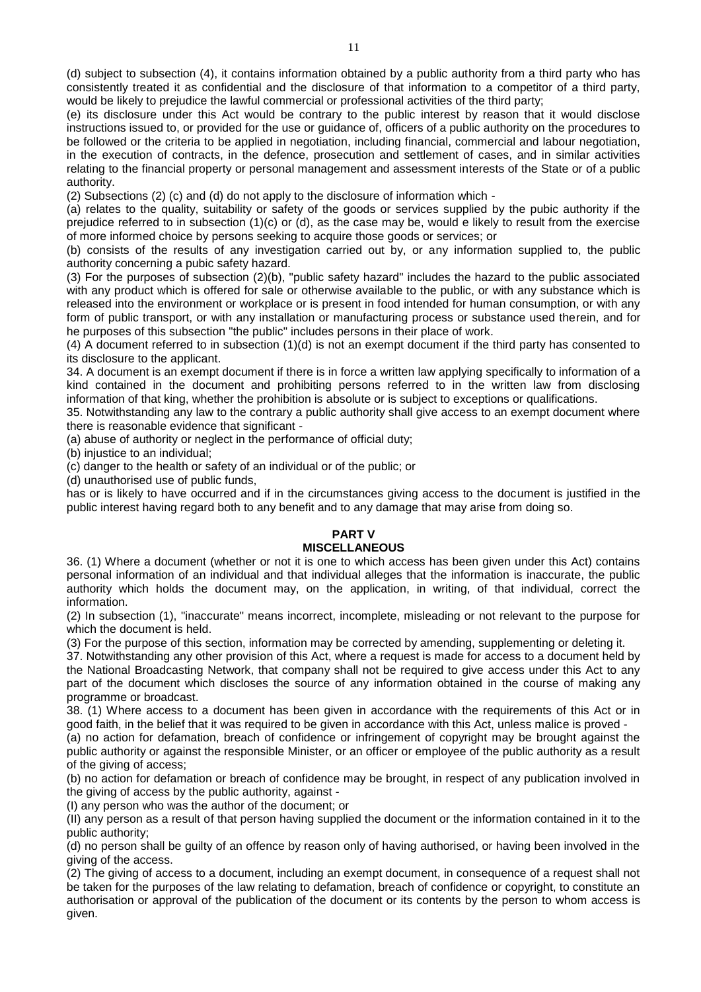(d) subject to subsection (4), it contains information obtained by a public authority from a third party who has consistently treated it as confidential and the disclosure of that information to a competitor of a third party, would be likely to prejudice the lawful commercial or professional activities of the third party;

(e) its disclosure under this Act would be contrary to the public interest by reason that it would disclose instructions issued to, or provided for the use or guidance of, officers of a public authority on the procedures to be followed or the criteria to be applied in negotiation, including financial, commercial and labour negotiation, in the execution of contracts, in the defence, prosecution and settlement of cases, and in similar activities relating to the financial property or personal management and assessment interests of the State or of a public authority.

(2) Subsections (2) (c) and (d) do not apply to the disclosure of information which -

(a) relates to the quality, suitability or safety of the goods or services supplied by the pubic authority if the prejudice referred to in subsection (1)(c) or (d), as the case may be, would e likely to result from the exercise of more informed choice by persons seeking to acquire those goods or services; or

(b) consists of the results of any investigation carried out by, or any information supplied to, the public authority concerning a pubic safety hazard.

(3) For the purposes of subsection (2)(b), "public safety hazard" includes the hazard to the public associated with any product which is offered for sale or otherwise available to the public, or with any substance which is released into the environment or workplace or is present in food intended for human consumption, or with any form of public transport, or with any installation or manufacturing process or substance used therein, and for he purposes of this subsection "the public" includes persons in their place of work.

(4) A document referred to in subsection (1)(d) is not an exempt document if the third party has consented to its disclosure to the applicant.

34. A document is an exempt document if there is in force a written law applying specifically to information of a kind contained in the document and prohibiting persons referred to in the written law from disclosing information of that king, whether the prohibition is absolute or is subject to exceptions or qualifications.

35. Notwithstanding any law to the contrary a public authority shall give access to an exempt document where there is reasonable evidence that significant -

(a) abuse of authority or neglect in the performance of official duty;

(b) injustice to an individual;

(c) danger to the health or safety of an individual or of the public; or

(d) unauthorised use of public funds,

has or is likely to have occurred and if in the circumstances giving access to the document is justified in the public interest having regard both to any benefit and to any damage that may arise from doing so.

#### **PART V MISCELLANEOUS**

36. (1) Where a document (whether or not it is one to which access has been given under this Act) contains personal information of an individual and that individual alleges that the information is inaccurate, the public authority which holds the document may, on the application, in writing, of that individual, correct the information.

(2) In subsection (1), "inaccurate" means incorrect, incomplete, misleading or not relevant to the purpose for which the document is held.

(3) For the purpose of this section, information may be corrected by amending, supplementing or deleting it.

37. Notwithstanding any other provision of this Act, where a request is made for access to a document held by the National Broadcasting Network, that company shall not be required to give access under this Act to any part of the document which discloses the source of any information obtained in the course of making any programme or broadcast.

38. (1) Where access to a document has been given in accordance with the requirements of this Act or in good faith, in the belief that it was required to be given in accordance with this Act, unless malice is proved -

(a) no action for defamation, breach of confidence or infringement of copyright may be brought against the public authority or against the responsible Minister, or an officer or employee of the public authority as a result of the giving of access;

(b) no action for defamation or breach of confidence may be brought, in respect of any publication involved in the giving of access by the public authority, against -

(I) any person who was the author of the document; or

(II) any person as a result of that person having supplied the document or the information contained in it to the public authority;

(d) no person shall be guilty of an offence by reason only of having authorised, or having been involved in the giving of the access.

(2) The giving of access to a document, including an exempt document, in consequence of a request shall not be taken for the purposes of the law relating to defamation, breach of confidence or copyright, to constitute an authorisation or approval of the publication of the document or its contents by the person to whom access is given.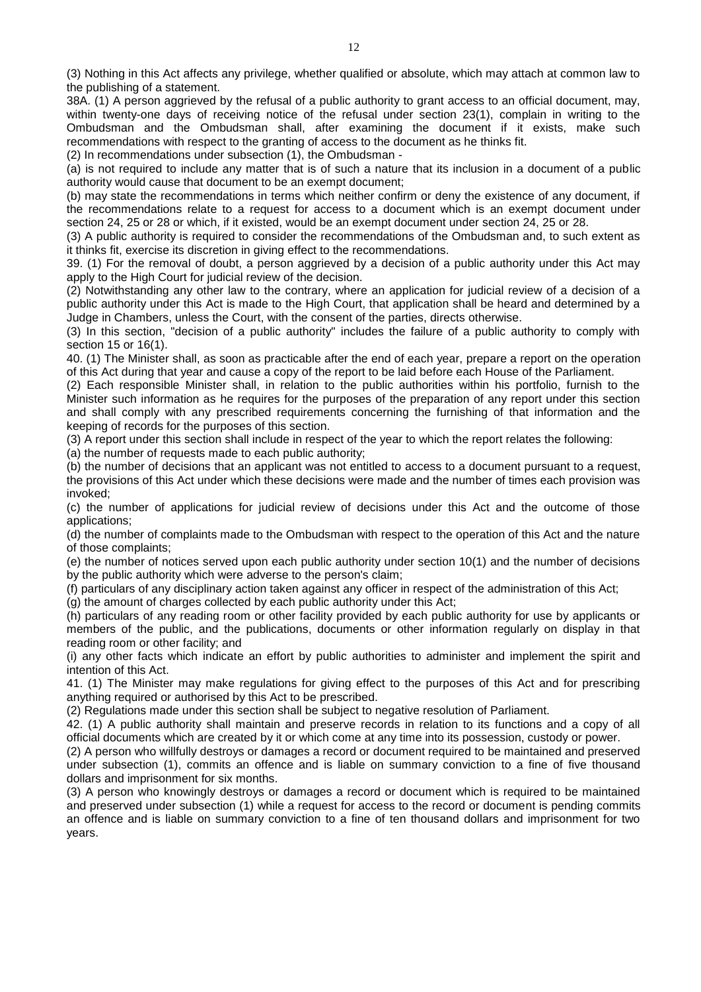(3) Nothing in this Act affects any privilege, whether qualified or absolute, which may attach at common law to the publishing of a statement.

38A. (1) A person aggrieved by the refusal of a public authority to grant access to an official document, may, within twenty-one days of receiving notice of the refusal under section 23(1), complain in writing to the Ombudsman and the Ombudsman shall, after examining the document if it exists, make such recommendations with respect to the granting of access to the document as he thinks fit.

(2) In recommendations under subsection (1), the Ombudsman -

(a) is not required to include any matter that is of such a nature that its inclusion in a document of a public authority would cause that document to be an exempt document;

(b) may state the recommendations in terms which neither confirm or deny the existence of any document, if the recommendations relate to a request for access to a document which is an exempt document under section 24, 25 or 28 or which, if it existed, would be an exempt document under section 24, 25 or 28.

(3) A public authority is required to consider the recommendations of the Ombudsman and, to such extent as it thinks fit, exercise its discretion in giving effect to the recommendations.

39. (1) For the removal of doubt, a person aggrieved by a decision of a public authority under this Act may apply to the High Court for judicial review of the decision.

(2) Notwithstanding any other law to the contrary, where an application for judicial review of a decision of a public authority under this Act is made to the High Court, that application shall be heard and determined by a Judge in Chambers, unless the Court, with the consent of the parties, directs otherwise.

(3) In this section, "decision of a public authority" includes the failure of a public authority to comply with section 15 or 16(1).

40. (1) The Minister shall, as soon as practicable after the end of each year, prepare a report on the operation of this Act during that year and cause a copy of the report to be laid before each House of the Parliament.

(2) Each responsible Minister shall, in relation to the public authorities within his portfolio, furnish to the Minister such information as he requires for the purposes of the preparation of any report under this section and shall comply with any prescribed requirements concerning the furnishing of that information and the keeping of records for the purposes of this section.

(3) A report under this section shall include in respect of the year to which the report relates the following:

(a) the number of requests made to each public authority;

(b) the number of decisions that an applicant was not entitled to access to a document pursuant to a request, the provisions of this Act under which these decisions were made and the number of times each provision was invoked;

(c) the number of applications for judicial review of decisions under this Act and the outcome of those applications;

(d) the number of complaints made to the Ombudsman with respect to the operation of this Act and the nature of those complaints;

(e) the number of notices served upon each public authority under section 10(1) and the number of decisions by the public authority which were adverse to the person's claim;

(f) particulars of any disciplinary action taken against any officer in respect of the administration of this Act;

(g) the amount of charges collected by each public authority under this Act;

(h) particulars of any reading room or other facility provided by each public authority for use by applicants or members of the public, and the publications, documents or other information regularly on display in that reading room or other facility; and

(i) any other facts which indicate an effort by public authorities to administer and implement the spirit and intention of this Act.

41. (1) The Minister may make regulations for giving effect to the purposes of this Act and for prescribing anything required or authorised by this Act to be prescribed.

(2) Regulations made under this section shall be subject to negative resolution of Parliament.

42. (1) A public authority shall maintain and preserve records in relation to its functions and a copy of all official documents which are created by it or which come at any time into its possession, custody or power.

(2) A person who willfully destroys or damages a record or document required to be maintained and preserved under subsection (1), commits an offence and is liable on summary conviction to a fine of five thousand dollars and imprisonment for six months.

(3) A person who knowingly destroys or damages a record or document which is required to be maintained and preserved under subsection (1) while a request for access to the record or document is pending commits an offence and is liable on summary conviction to a fine of ten thousand dollars and imprisonment for two years.